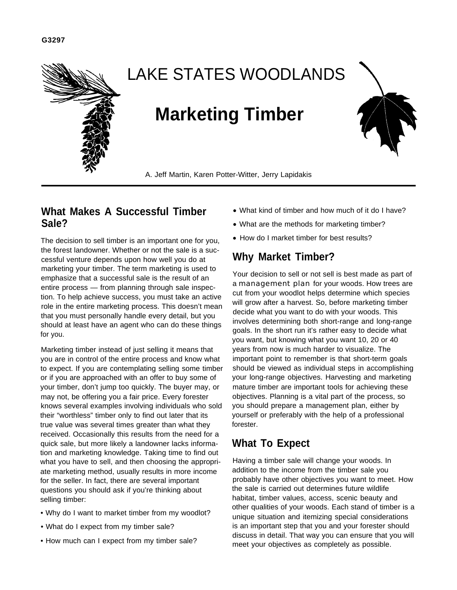

# LAKE STATES WOODLANDS

# **Marketing Timber**



A. Jeff Martin, Karen Potter-Witter, Jerry Lapidakis

# **What Makes A Successful Timber Sale?**

The decision to sell timber is an important one for you, the forest landowner. Whether or not the sale is a successful venture depends upon how well you do at marketing your timber. The term marketing is used to emphasize that a successful sale is the result of an entire process — from planning through sale inspection. To help achieve success, you must take an active role in the entire marketing process. This doesn't mean that you must personally handle every detail, but you should at least have an agent who can do these things for you.

Marketing timber instead of just selling it means that you are in control of the entire process and know what to expect. If you are contemplating selling some timber or if you are approached with an offer to buy some of your timber, don't jump too quickly. The buyer may, or may not, be offering you a fair price. Every forester knows several examples involving individuals who sold their "worthless" timber only to find out later that its true value was several times greater than what they received. Occasionally this results from the need for a quick sale, but more likely a landowner lacks information and marketing knowledge. Taking time to find out what you have to sell, and then choosing the appropriate marketing method, usually results in more income for the seller. In fact, there are several important questions you should ask if you're thinking about selling timber:

- Why do I want to market timber from my woodlot?
- What do I expect from my timber sale?
- How much can I expect from my timber sale?
- What kind of timber and how much of it do I have?
- What are the methods for marketing timber?
- How do I market timber for best results?

# **Why Market Timber?**

Your decision to sell or not sell is best made as part of a **management plan** for your woods. How trees are cut from your woodlot helps determine which species will grow after a harvest. So, before marketing timber decide what you want to do with your woods. This involves determining both short-range and long-range goals. In the short run it's rather easy to decide what you want, but knowing what you want 10, 20 or 40 years from now is much harder to visualize. The important point to remember is that short-term goals should be viewed as individual steps in accomplishing your long-range objectives. Harvesting and marketing mature timber are important tools for achieving these objectives. Planning is a vital part of the process, so you should prepare a management plan, either by yourself or preferably with the help of a professional forester.

# **What To Expect**

Having a timber sale will change your woods. In addition to the income from the timber sale you probably have other objectives you want to meet. How the sale is carried out determines future wildlife habitat, timber values, access, scenic beauty and other qualities of your woods. Each stand of timber is a unique situation and itemizing special considerations is an important step that you and your forester should discuss in detail. That way you can ensure that you will meet your objectives as completely as possible.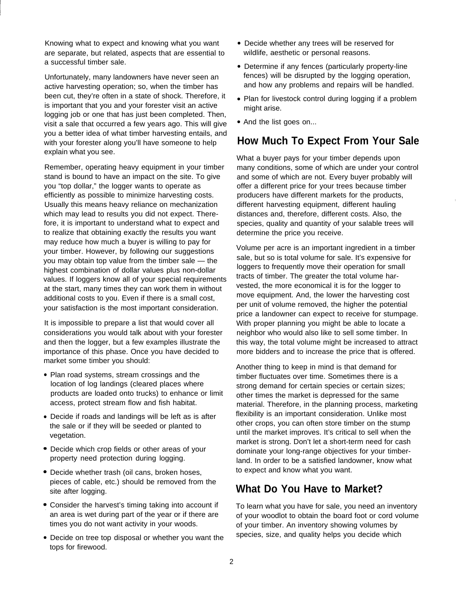Knowing what to expect and knowing what you want are separate, but related, aspects that are essential to a successful timber sale.

Unfortunately, many landowners have never seen an active harvesting operation; so, when the timber has been cut, they're often in a state of shock. Therefore, it is important that you and your forester visit an active logging job or one that has just been completed. Then, visit a sale that occurred a few years ago. This will give you a better idea of what timber harvesting entails, and with your forester along you'll have someone to help explain what you see.

Remember, operating heavy equipment in your timber stand is bound to have an impact on the site. To give you "top dollar," the logger wants to operate as efficiently as possible to minimize harvesting costs. Usually this means heavy reliance on mechanization which may lead to results you did not expect. Therefore, it is important to understand what to expect and to realize that obtaining exactly the results you want may reduce how much a buyer is willing to pay for your timber. However, by following our suggestions you may obtain top value from the timber sale — the highest combination of dollar values plus non-dollar values. If loggers know all of your special requirements at the start, many times they can work them in without additional costs to you. Even if there is a small cost, your satisfaction is the most important consideration.

It is impossible to prepare a list that would cover all considerations you would talk about with your forester and then the logger, but a few examples illustrate the importance of this phase. Once you have decided to market some timber you should:

- Plan road systems, stream crossings and the location of log landings (cleared places where products are loaded onto trucks) to enhance or limit access, protect stream flow and fish habitat.
- Decide if roads and landings will be left as is after the sale or if they will be seeded or planted to vegetation.
- Decide which crop fields or other areas of your property need protection during logging.
- Decide whether trash (oil cans, broken hoses, pieces of cable, etc.) should be removed from the site after logging.
- Consider the harvest's timing taking into account if an area is wet during part of the year or if there are times you do not want activity in your woods.
- Decide on tree top disposal or whether you want the tops for firewood.
- Decide whether any trees will be reserved for wildlife, aesthetic or personal reasons.
- Determine if any fences (particularly property-line fences) will be disrupted by the logging operation, and how any problems and repairs will be handled.
- Plan for livestock control during logging if a problem might arise.
- And the list goes on...

# **How Much To Expect From Your Sale**

What a buyer pays for your timber depends upon many conditions, some of which are under your control and some of which are not. Every buyer probably will offer a different price for your trees because timber producers have different markets for the products, different harvesting equipment, different hauling distances and, therefore, different costs. Also, the species, quality and quantity of your salable trees will determine the price you receive.

,

Volume per acre is an important ingredient in a timber sale, but so is total volume for sale. It's expensive for loggers to frequently move their operation for small tracts of timber. The greater the total volume harvested, the more economical it is for the logger to move equipment. And, the lower the harvesting cost per unit of volume removed, the higher the potential price a landowner can expect to receive for stumpage. With proper planning you might be able to locate a neighbor who would also like to sell some timber. In this way, the total volume might be increased to attract more bidders and to increase the price that is offered.

Another thing to keep in mind is that demand for timber fluctuates over time. Sometimes there is a strong demand for certain species or certain sizes; other times the market is depressed for the same material. Therefore, in the planning process, marketing flexibility is an important consideration. Unlike most other crops, you can often store timber on the stump until the market improves. It's critical to sell when the market is strong. Don't let a short-term need for cash dominate your long-range objectives for your timberland. In order to be a satisfied landowner, know what to expect and know what you want.

# **What Do You Have to Market?**

To learn what you have for sale, you need an inventory of your woodlot to obtain the board foot or cord volume of your timber. An inventory showing volumes by species, size, and quality helps you decide which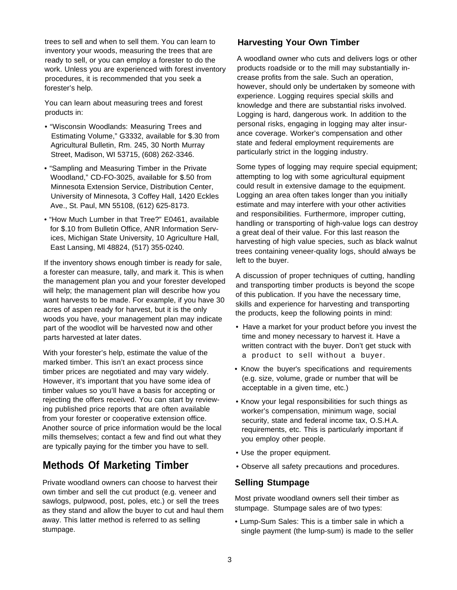trees to sell and when to sell them. You can learn to inventory your woods, measuring the trees that are ready to sell, or you can employ a forester to do the work. Unless you are experienced with forest inventory procedures, it is recommended that you seek a forester's help.

You can learn about measuring trees and forest products in:

- "Wisconsin Woodlands: Measuring Trees and Estimating Volume," G3332, available for \$.30 from Agricultural Bulletin, Rm. 245, 30 North Murray Street, Madison, WI 53715, (608) 262-3346.
- "Sampling and Measuring Timber in the Private Woodland," CD-FO-3025, available for \$.50 from Minnesota Extension Service, Distribution Center, University of Minnesota, 3 Coffey Hall, 1420 Eckles Ave., St. Paul, MN 55108, (612) 625-8173.
- "How Much Lumber in that Tree?" E0461, available for \$.10 from Bulletin Office, ANR Information Services, Michigan State University, 10 Agriculture Hall, East Lansing, Ml 48824, (517) 355-0240.

If the inventory shows enough timber is ready for sale, a forester can measure, tally, and mark it. This is when the management plan you and your forester developed will help; the management plan will describe how you want harvests to be made. For example, if you have 30 acres of aspen ready for harvest, but it is the only woods you have, your management plan may indicate part of the woodlot will be harvested now and other parts harvested at later dates.

With your forester's help, estimate the value of the marked timber. This isn't an exact process since timber prices are negotiated and may vary widely. However, it's important that you have some idea of timber values so you'll have a basis for accepting or rejecting the offers received. You can start by reviewing published price reports that are often available from your forester or cooperative extension office. Another source of price information would be the local mills themselves; contact a few and find out what they are typically paying for the timber you have to sell.

# **Methods Of Marketing Timber**

Private woodland owners can choose to harvest their own timber and sell the cut product (e.g. veneer and sawlogs, pulpwood, post, poles, etc.) or sell the trees as they stand and allow the buyer to cut and haul them away. This latter method is referred to as selling stumpage.

## **Harvesting Your Own Timber**

A woodland owner who cuts and delivers logs or other products roadside or to the mill may substantially increase profits from the sale. Such an operation, however, should only be undertaken by someone with experience. Logging requires special skills and knowledge and there are substantial risks involved. Logging is hard, dangerous work. In addition to the personal risks, engaging in logging may alter insurance coverage. Worker's compensation and other state and federal employment requirements are particularly strict in the logging industry.

Some types of logging may require special equipment; attempting to log with some agricultural equipment could result in extensive damage to the equipment. Logging an area often takes longer than you initially estimate and may interfere with your other activities and responsibilities. Furthermore, improper cutting, handling or transporting of high-value logs can destroy a great deal of their value. For this last reason the harvesting of high value species, such as black walnut trees containing veneer-quality logs, should always be left to the buyer.

A discussion of proper techniques of cutting, handling and transporting timber products is beyond the scope of this publication. If you have the necessary time, skills and experience for harvesting and transporting the products, keep the following points in mind:

- Have a market for your product before you invest the time and money necessary to harvest it. Have a written contract with the buyer. Don't get stuck with a product to sell without a buyer.
- Know the buyer's specifications and requirements (e.g. size, volume, grade or number that will be acceptable in a given time, etc.)
- Know your legal responsibilities for such things as worker's compensation, minimum wage, social security, state and federal income tax, O.S.H.A. requirements, etc. This is particularly important if you employ other people.
- Use the proper equipment.
- Observe all safety precautions and procedures.

## **Selling Stumpage**

Most private woodland owners sell their timber as stumpage. Stumpage sales are of two types:

• Lump-Sum Sales: This is a timber sale in which a single payment (the lump-sum) is made to the seller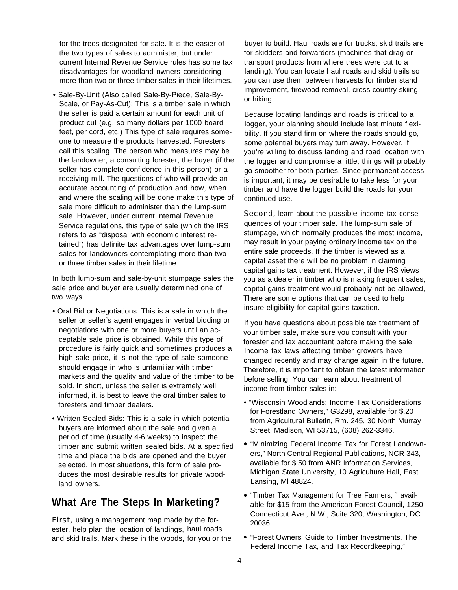for the trees designated for sale. It is the easier of the two types of sales to administer, but under current Internal Revenue Service rules has some tax disadvantages for woodland owners considering more than two or three timber sales in their lifetimes.

• Sale-By-Unit (Also called Sale-By-Piece, Sale-By-Scale, or Pay-As-Cut): This is a timber sale in which the seller is paid a certain amount for each unit of product cut (e.g. so many dollars per 1000 board feet, per cord, etc.) This type of sale requires someone to measure the products harvested. Foresters call this scaling. The person who measures may be the landowner, a consulting forester, the buyer (if the seller has complete confidence in this person) or a receiving mill. The questions of who will provide an accurate accounting of production and how, when and where the scaling will be done make this type of sale more difficult to administer than the lump-sum sale. However, under current Internal Revenue Service regulations, this type of sale (which the IRS refers to as "disposal with economic interest retained") has definite tax advantages over lump-sum sales for landowners contemplating more than two or three timber sales in their lifetime.

In both lump-sum and sale-by-unit stumpage sales the sale price and buyer are usually determined one of two ways:

- Oral Bid or Negotiations. This is a sale in which the seller or seller's agent engages in verbal bidding or negotiations with one or more buyers until an acceptable sale price is obtained. While this type of procedure is fairly quick and sometimes produces a high sale price, it is not the type of sale someone should engage in who is unfamiliar with timber markets and the quality and value of the timber to be sold. In short, unless the seller is extremely well informed, it, is best to leave the oral timber sales to foresters and timber dealers.
- Written Sealed Bids: This is a sale in which potential buyers are informed about the sale and given a period of time (usually 4-6 weeks) to inspect the timber and submit written sealed bids. At a specified time and place the bids are opened and the buyer selected. In most situations, this form of sale produces the most desirable results for private woodland owners.

## **What Are The Steps In Marketing?**

First, using a management map made by the forester, help plan the location of landings, haul roads and skid trails. Mark these in the woods, for you or the buyer to build. Haul roads are for trucks; skid trails are for skidders and forwarders (machines that drag or transport products from where trees were cut to a landing). You can locate haul roads and skid trails so you can use them between harvests for timber stand improvement, firewood removal, cross country skiing or hiking.

Because locating landings and roads is critical to a logger, your planning should include last minute flexibility. If you stand firm on where the roads should go, some potential buyers may turn away. However, if you're willing to discuss landing and road location with the logger and compromise a little, things will probably go smoother for both parties. Since permanent access is important, it may be desirable to take less for your timber and have the logger build the roads for your continued use.

**Second, learn about the possible income tax conse**quences of your timber sale. The lump-sum sale of stumpage, which normally produces the most income, may result in your paying ordinary income tax on the entire sale proceeds. If the timber is viewed as a capital asset there will be no problem in claiming capital gains tax treatment. However, if the IRS views you as a dealer in timber who is making frequent sales, capital gains treatment would probably not be allowed, There are some options that can be used to help insure eligibility for capital gains taxation.

If you have questions about possible tax treatment of your timber sale, make sure you consult with your forester and tax accountant before making the sale. Income tax laws affecting timber growers have changed recently and may change again in the future. Therefore, it is important to obtain the latest information before selling. You can learn about treatment of income from timber sales in:

- "Wisconsin Woodlands: Income Tax Considerations for Forestland Owners," G3298, available for \$.20 from Agricultural Bulletin, Rm. 245, 30 North Murray Street, Madison, WI 53715, (608) 262-3346.
- "Minimizing Federal Income Tax for Forest Landowners," North Central Regional Publications, NCR 343, available for \$.50 from ANR Information Services, Michigan State University, 10 Agriculture Hall, East Lansing, Ml 48824.
- "Timber Tax Management for Tree Farmers, " available for \$15 from the American Forest Council, 1250 Connecticut Ave., N.W., Suite 320, Washington, DC 20036.
- "Forest Owners' Guide to Timber Investments, The Federal Income Tax, and Tax Recordkeeping,"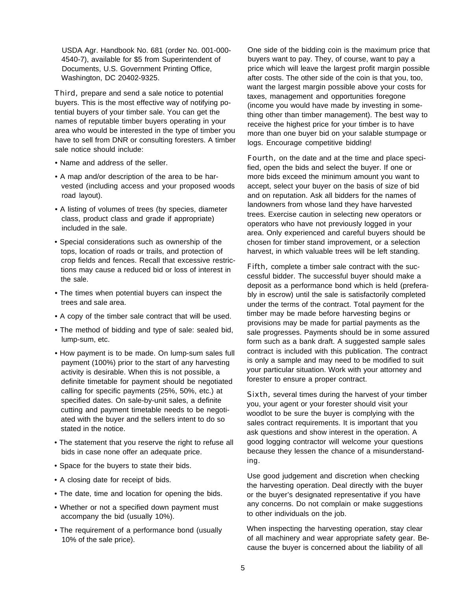USDA Agr. Handbook No. 681 (order No. 001-000- 4540-7), available for \$5 from Superintendent of Documents, U.S. Government Printing Office, Washington, DC 20402-9325.

Third, prepare and send a sale notice to potential buyers. This is the most effective way of notifying potential buyers of your timber sale. You can get the names of reputable timber buyers operating in your area who would be interested in the type of timber you have to sell from DNR or consulting foresters. A timber sale notice should include:

- Name and address of the seller.
- A map and/or description of the area to be harvested (including access and your proposed woods road layout).
- A listing of volumes of trees (by species, diameter class, product class and grade if appropriate) included in the sale.
- Special considerations such as ownership of the tops, location of roads or trails, and protection of crop fields and fences. Recall that excessive restrictions may cause a reduced bid or loss of interest in the sale.
- The times when potential buyers can inspect the trees and sale area.
- A copy of the timber sale contract that will be used.
- The method of bidding and type of sale: sealed bid, lump-sum, etc.
- How payment is to be made. On lump-sum sales full payment (100%) prior to the start of any harvesting activity is desirable. When this is not possible, a definite timetable for payment should be negotiated calling for specific payments (25%, 50%, etc.) at specified dates. On sale-by-unit sales, a definite cutting and payment timetable needs to be negotiated with the buyer and the sellers intent to do so stated in the notice.
- The statement that you reserve the right to refuse all bids in case none offer an adequate price.
- Space for the buyers to state their bids.
- A closing date for receipt of bids.
- The date, time and location for opening the bids.
- Whether or not a specified down payment must accompany the bid (usually 10%).
- The requirement of a performance bond (usually 10% of the sale price).

One side of the bidding coin is the maximum price that buyers want to pay. They, of course, want to pay a price which will leave the largest profit margin possible after costs. The other side of the coin is that you, too, want the largest margin possible above your costs for taxes, management and opportunities foregone (income you would have made by investing in something other than timber management). The best way to receive the highest price for your timber is to have more than one buyer bid on your salable stumpage or logs. Encourage competitive bidding!

Fourth, on the date and at the time and place specified, open the bids and select the buyer. If one or more bids exceed the minimum amount you want to accept, select your buyer on the basis of size of bid and on reputation. Ask all bidders for the names of landowners from whose land they have harvested trees. Exercise caution in selecting new operators or operators who have not previously logged in your area. Only experienced and careful buyers should be chosen for timber stand improvement, or a selection harvest, in which valuable trees will be left standing.

Fifth, complete a timber sale contract with the successful bidder. The successful buyer should make a deposit as a performance bond which is held (preferably in escrow) until the sale is satisfactorily completed under the terms of the contract. Total payment for the timber may be made before harvesting begins or provisions may be made for partial payments as the sale progresses. Payments should be in some assured form such as a bank draft. A suggested sample sales contract is included with this publication. The contract is only a sample and may need to be modified to suit your particular situation. Work with your attorney and forester to ensure a proper contract.

Sixth, several times during the harvest of your timber you, your agent or your forester should visit your woodlot to be sure the buyer is complying with the sales contract requirements. It is important that you ask questions and show interest in the operation. A good logging contractor will welcome your questions because they lessen the chance of a misunderstanding.

Use good judgement and discretion when checking the harvesting operation. Deal directly with the buyer or the buyer's designated representative if you have any concerns. Do not complain or make suggestions to other individuals on the job.

When inspecting the harvesting operation, stay clear of all machinery and wear appropriate safety gear. Because the buyer is concerned about the liability of all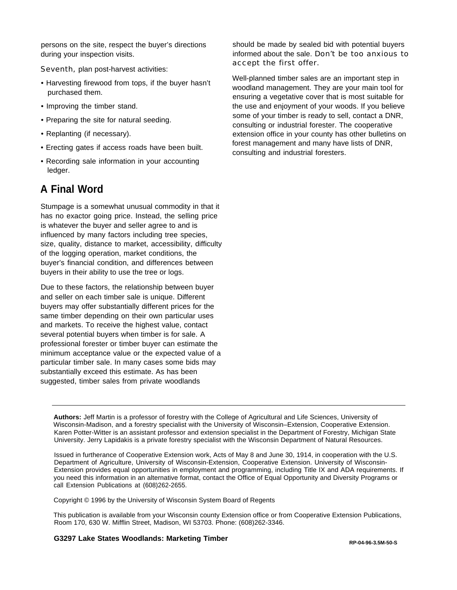persons on the site, respect the buyer's directions during your inspection visits.

Seventh, plan post-harvest activities:

- Harvesting firewood from tops, if the buyer hasn't purchased them.
- Improving the timber stand.
- Preparing the site for natural seeding.
- Replanting (if necessary).
- Erecting gates if access roads have been built.
- Recording sale information in your accounting ledger.

# **A Final Word**

Stumpage is a somewhat unusual commodity in that it has no exactor going price. Instead, the selling price is whatever the buyer and seller agree to and is influenced by many factors including tree species, size, quality, distance to market, accessibility, difficulty of the logging operation, market conditions, the buyer's financial condition, and differences between buyers in their ability to use the tree or logs.

Due to these factors, the relationship between buyer and seller on each timber sale is unique. Different buyers may offer substantially different prices for the same timber depending on their own particular uses and markets. To receive the highest value, contact several potential buyers when timber is for sale. A professional forester or timber buyer can estimate the minimum acceptance value or the expected value of a particular timber sale. In many cases some bids may substantially exceed this estimate. As has been suggested, timber sales from private woodlands

should be made by sealed bid with potential buyers informed about the sale. Don't be too anxious to accept the first offer.

Well-planned timber sales are an important step in woodland management. They are your main tool for ensuring a vegetative cover that is most suitable for the use and enjoyment of your woods. If you believe some of your timber is ready to sell, contact a DNR, consulting or industrial forester. The cooperative extension office in your county has other bulletins on forest management and many have lists of DNR, consulting and industrial foresters.

**Authors:** Jeff Martin is a professor of forestry with the College of Agricultural and Life Sciences, University of Wisconsin-Madison, and a forestry specialist with the University of Wisconsin–Extension, Cooperative Extension. Karen Potter-Witter is an assistant professor and extension specialist in the Department of Forestry, Michigan State University. Jerry Lapidakis is a private forestry specialist with the Wisconsin Department of Natural Resources.

Issued in furtherance of Cooperative Extension work, Acts of May 8 and June 30, 1914, in cooperation with the U.S. Department of Agriculture, University of Wisconsin-Extension, Cooperative Extension. University of Wisconsin-Extension provides equal opportunities in employment and programming, including Title IX and ADA requirements. If you need this information in an alternative format, contact the Office of Equal Opportunity and Diversity Programs or call Extension Publications at (608)262-2655.

Copyright © 1996 by the University of Wisconsin System Board of Regents

This publication is available from your Wisconsin county Extension office or from Cooperative Extension Publications, Room 170, 630 W. Mifflin Street, Madison, WI 53703. Phone: (608)262-3346.

## **G3297 Lake States Woodlands: Marketing Timber RP-04-96-3.5M-50-S**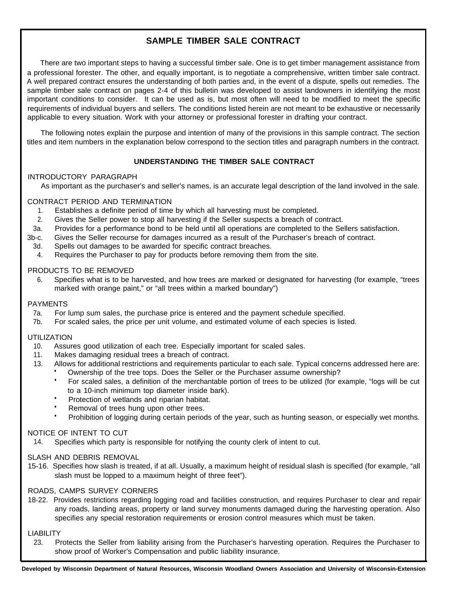## **SAMPLE TIMBER SALE CONTRACT**

There are two important steps to having a successful timber sale. One is to get timber management assistance from a professional forester. The other, and equally important, is to negotiate a comprehensive, written timber sale contract. A well prepared contract ensures the understanding of both parties and, in the event of a dispute, spells out remedies. The sample timber sale contract on pages 2-4 of this bulletin was developed to assist landowners in identifying the most important conditions to consider. It can be used as is, but most often will need to be modified to meet the specific requirements of individual buyers and sellers. The conditions listed herein are not meant to be exhaustive or necessarily applicable to every situation. Work with your attorney or professional forester in drafting your contract.

The following notes explain the purpose and intention of many of the provisions in this sample contract. The section titles and item numbers in the explanation below correspond to the section titles and paragraph numbers in the contract.

## **UNDERSTANDING THE TIMBER SALE CONTRACT**

## INTRODUCTORY PARAGRAPH

As important as the purchaser's and seller's names, is an accurate legal description of the land involved in the sale.

## CONTRACT PERIOD AND TERMINATION

- 1. Establishes a definite period of time by which all harvesting must be completed.
- 2. Gives the Seller power to stop all harvesting if the Seller suspects a breach of contract.
- 3a. Provides for a performance bond to be held until all operations are completed to the Sellers satisfaction.
- 3b-c. Gives the Seller recourse for damages incurred as a result of the Purchaser's breach of contract.
	- 3d. Spells out damages to be awarded for specific contract breaches.
	- 4. Requires the Purchaser to pay for products before removing them from the site.

## PRODUCTS TO BE REMOVED

6. Specifies what is to be harvested, and how trees are marked or designated for harvesting (for example, "trees marked with orange paint," or "all trees within a marked boundary")

### PAYMENTS

- 7a. For lump sum sales, the purchase price is entered and the payment schedule specified.
- 7b. For scaled sales, the price per unit volume, and estimated volume of each species is listed.

## UTILIZATION

- 10. Assures good utilization of each tree. Especially important for scaled sales.
- 11. Makes damaging residual trees a breach of contract.
- 13. Allows for additional restrictions and requirements particular to each sale. Typical concerns addressed here are:
	- Ownership of the tree tops. Does the Seller or the Purchaser assume ownership?
	- For scaled sales, a definition of the merchantable portion of trees to be utilized (for example, "logs will be cut to a 10-inch minimum top diameter inside bark).
	- Protection of wetlands and riparian habitat.
	- Removal of trees hung upon other trees.
	- Prohibition of logging during certain periods of the year, such as hunting season, or especially wet months.

### NOTICE OF INTENT TO CUT

14. Specifies which party is responsible for notifying the county clerk of intent to cut.

### SLASH AND DEBRIS REMOVAL

15-16. Specifies how slash is treated, if at all. Usually, a maximum height of residual slash is specified (for example, "all slash must be lopped to a maximum height of three feet").

### ROADS, CAMPS SURVEY CORNERS

18-22. Provides restrictions regarding logging road and facilities construction, and requires Purchaser to clear and repair any roads, landing areas, property or land survey monuments damaged during the harvesting operation. Also specifies any special restoration requirements or erosion control measures which must be taken.

### **LIABILITY**

23. Protects the Seller from liability arising from the Purchaser's harvesting operation. Requires the Purchaser to show proof of Worker's Compensation and public Iiability insurance.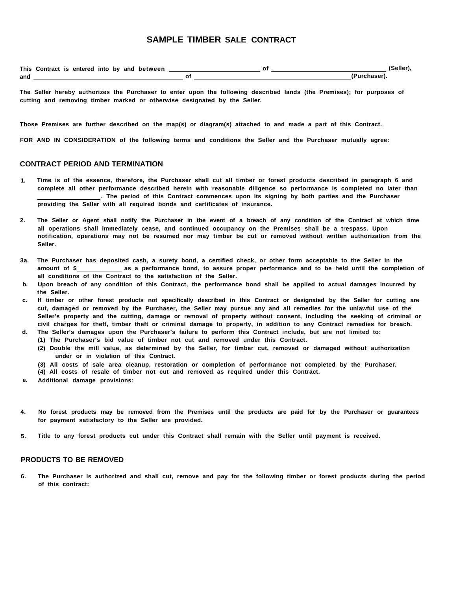## **SAMPLE TIMBER SALE CONTRACT**

|     | This Contract is entered into by and between |  |  | (Seller),    |
|-----|----------------------------------------------|--|--|--------------|
| and |                                              |  |  | (Purchaser). |

**The Seller hereby authorizes the Purchaser to enter upon the following described lands (the Premises); for purposes of cutting and removing timber marked or otherwise designated by the Seller.**

**Those Premises are further described on the map(s) or diagram(s) attached to and made a part of this Contract.**

**FOR AND IN CONSIDERATION of the following terms and conditions the Seller and the Purchaser mutually agree:**

#### **CONTRACT PERIOD AND TERMINATION**

- **1. Time is of the essence, therefore, the Purchaser shall cut all timber or forest products described in paragraph 6 and complete all other performance described herein with reasonable diligence so performance is completed no later than . The period of this Contract commences upon its signing by both parties and the Purchaser providing the Seller with all required bonds and certificates of insurance.**
- **2. The Seller or Agent shall notify the Purchaser in the event of a breach of any condition of the Contract at which time all operations shall immediately cease, and continued occupancy on the Premises shall be a trespass. Upon notification, operations may not be resumed nor may timber be cut or removed without written authorization from the Seller.**
- **3a. The Purchaser has deposited cash, a surety bond, a certified check, or other form acceptable to the Seller in the** amount of \$\_\_\_\_\_\_\_\_\_\_\_\_\_\_ as a performance bond, to assure proper performance and to be held until the completion of **all conditions of the Contract to the satisfaction of the Seller.**
- **b. Upon breach of any condition of this Contract, the performance bond shall be applied to actual damages incurred by the Seller.**
- **c. If timber or other forest products not specifically described in this Contract or designated by the Seller for cutting are cut, damaged or removed by the Purchaser, the Seller may pursue any and all remedies for the unlawful use of the Seller's property and the cutting, damage or removal of property without consent, including the seeking of criminal or civil charges for theft, timber theft or criminal damage to property, in addition to any Contract remedies for breach.**
- **d. The Seller's damages upon the Purchaser's failure to perform this Contract include, but are not limited to:**
- **(1) The Purchaser's bid value of timber not cut and removed under this Contract.**
	- **(2) Double the mill value, as determined by the Seller, for timber cut, removed or damaged without authorization under or in violation of this Contract.**
	- **(3) All costs of sale area cleanup, restoration or completion of performance not completed by the Purchaser.**
	- **(4) All costs of resale of timber not cut and removed as required under this Contract.**
- **e. Additional damage provisions:**
- **4. No forest products may be removed from the Premises until the products are paid for by the Purchaser or guarantees for payment satisfactory to the Seller are provided.**
- **5. Title to any forest products cut under this Contract shall remain with the Seller until payment is received.**

### **PRODUCTS TO BE REMOVED**

**6. The Purchaser is authorized and shall cut, remove and pay for the following timber or forest products during the period of this contract:**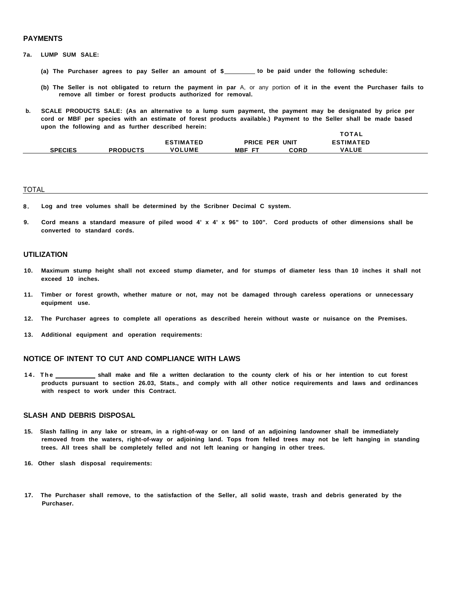#### **PAYMENTS**

- **7a. LUMP SUM SALE:**
	- **(a) The Purchaser agrees to pay Seller an amount of \$ to be paid under the following schedule:**
	- **(b) The Seller is not obligated to return the payment in par** A, or any portion **of it in the event the Purchaser fails to remove all timber or forest products authorized for removal.**

**TOTAL**

**b. SCALE PRODUCTS SALE: (As an alternative to a lump sum payment, the payment may be designated by price per cord or MBF per species with an estimate of forest products available.) Payment to the Seller shall be made based upon the following and as further described herein:**

|                |                 |                  | .                           |      |                  |  |
|----------------|-----------------|------------------|-----------------------------|------|------------------|--|
|                |                 | <b>ESTIMATED</b> | PRICE<br>UNIT<br><b>PER</b> |      | <b>ESTIMATED</b> |  |
| <b>SPECIES</b> | <b>PRODUCTS</b> | <b>VOLUME</b>    | MBF<br>- 57                 | CORD | <b>VALUE</b>     |  |

#### TOTAL

- **8 . Log and tree volumes shall be determined by the Scribner Decimal C system.**
- **9. Cord means a standard measure of piled wood 4' x 4' x 96" to 100". Cord products of other dimensions shall be converted to standard cords.**

#### **UTILIZATION**

- **10. Maximum stump height shall not exceed stump diameter, and for stumps of diameter less than 10 inches it shall not exceed 10 inches.**
- **11. Timber or forest growth, whether mature or not, may not be damaged through careless operations or unnecessary equipment use.**
- **12. The Purchaser agrees to complete all operations as described herein without waste or nuisance on the Premises.**
- **13. Additional equipment and operation requirements:**

#### **NOTICE OF INTENT TO CUT AND COMPLIANCE WITH LAWS**

**14. Th e shall make and file a written declaration to the county clerk of his or her intention to cut forest products pursuant to section 26.03, Stats., and comply with all other notice requirements and laws and ordinances with respect to work under this Contract.**

#### **SLASH AND DEBRIS DISPOSAL**

- **15. Slash falling in any lake or stream, in a right-of-way or on land of an adjoining landowner shall be immediately removed from the waters, right-of-way or adjoining land. Tops from felled trees may not be left hanging in standing trees. All trees shall be completely felled and not left leaning or hanging in other trees.**
- **16. Other slash disposal requirements:**
- **17. The Purchaser shall remove, to the satisfaction of the Seller, all solid waste, trash and debris generated by the Purchaser.**